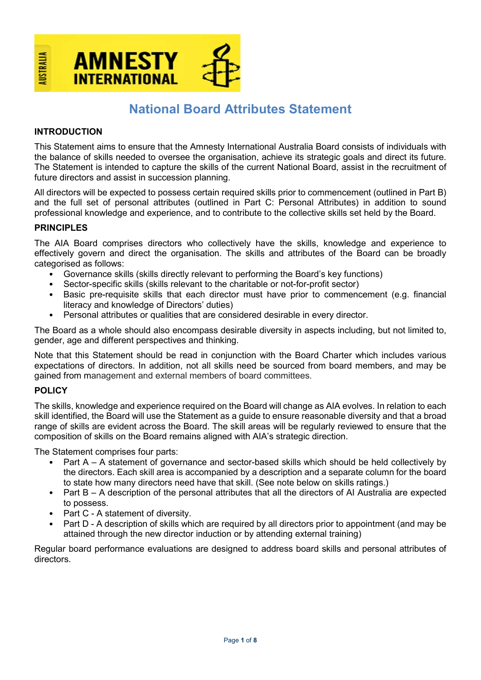

# National Board Attributes Statement

### INTRODUCTION

This Statement aims to ensure that the Amnesty International Australia Board consists of individuals with the balance of skills needed to oversee the organisation, achieve its strategic goals and direct its future. The Statement is intended to capture the skills of the current National Board, assist in the recruitment of future directors and assist in succession planning.

All directors will be expected to possess certain required skills prior to commencement (outlined in Part B) and the full set of personal attributes (outlined in Part C: Personal Attributes) in addition to sound professional knowledge and experience, and to contribute to the collective skills set held by the Board.

#### PRINCIPLES

The AIA Board comprises directors who collectively have the skills, knowledge and experience to effectively govern and direct the organisation. The skills and attributes of the Board can be broadly categorised as follows:

- Governance skills (skills directly relevant to performing the Board's key functions)
- Sector-specific skills (skills relevant to the charitable or not-for-profit sector)
- Basic pre-requisite skills that each director must have prior to commencement (e.g. financial literacy and knowledge of Directors' duties)
- Personal attributes or qualities that are considered desirable in every director.

The Board as a whole should also encompass desirable diversity in aspects including, but not limited to, gender, age and different perspectives and thinking.

Note that this Statement should be read in conjunction with the Board Charter which includes various expectations of directors. In addition, not all skills need be sourced from board members, and may be gained from management and external members of board committees.

#### POLICY

The skills, knowledge and experience required on the Board will change as AIA evolves. In relation to each skill identified, the Board will use the Statement as a guide to ensure reasonable diversity and that a broad range of skills are evident across the Board. The skill areas will be regularly reviewed to ensure that the composition of skills on the Board remains aligned with AIA's strategic direction.

The Statement comprises four parts:

- Part A A statement of governance and sector-based skills which should be held collectively by the directors. Each skill area is accompanied by a description and a separate column for the board to state how many directors need have that skill. (See note below on skills ratings.)
- Part B A description of the personal attributes that all the directors of AI Australia are expected to possess.
- Part C A statement of diversity.
- Part D A description of skills which are required by all directors prior to appointment (and may be attained through the new director induction or by attending external training)

Regular board performance evaluations are designed to address board skills and personal attributes of directors.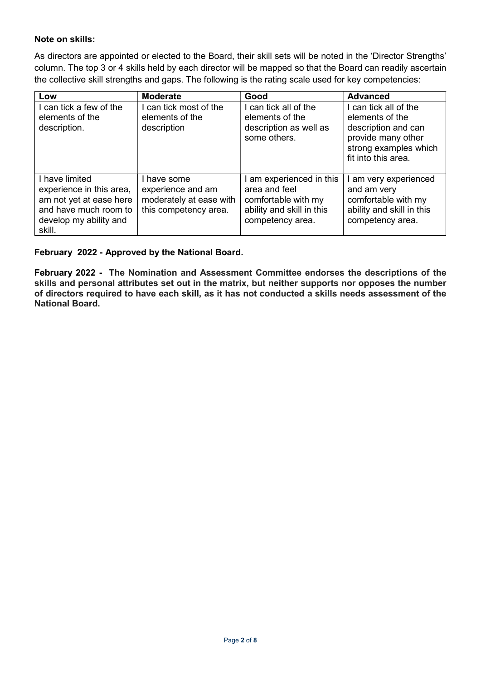## Note on skills:

As directors are appointed or elected to the Board, their skill sets will be noted in the 'Director Strengths' column. The top 3 or 4 skills held by each director will be mapped so that the Board can readily ascertain the collective skill strengths and gaps. The following is the rating scale used for key competencies:

| Low                                                                                                                              | <b>Moderate</b>                                                                      | Good                                                                                                              | <b>Advanced</b>                                                                                                                       |
|----------------------------------------------------------------------------------------------------------------------------------|--------------------------------------------------------------------------------------|-------------------------------------------------------------------------------------------------------------------|---------------------------------------------------------------------------------------------------------------------------------------|
| can tick a few of the<br>elements of the<br>description.                                                                         | I can tick most of the<br>elements of the<br>description                             | can tick all of the<br>elements of the<br>description as well as<br>some others.                                  | I can tick all of the<br>elements of the<br>description and can<br>provide many other<br>strong examples which<br>fit into this area. |
| have limited<br>experience in this area,<br>am not yet at ease here<br>and have much room to<br>develop my ability and<br>skill. | I have some<br>experience and am<br>moderately at ease with<br>this competency area. | I am experienced in this<br>area and feel<br>comfortable with my<br>ability and skill in this<br>competency area. | I am very experienced<br>and am very<br>comfortable with my<br>ability and skill in this<br>competency area.                          |

#### February 2022 - Approved by the National Board.

February 2022 - The Nomination and Assessment Committee endorses the descriptions of the skills and personal attributes set out in the matrix, but neither supports nor opposes the number of directors required to have each skill, as it has not conducted a skills needs assessment of the National Board.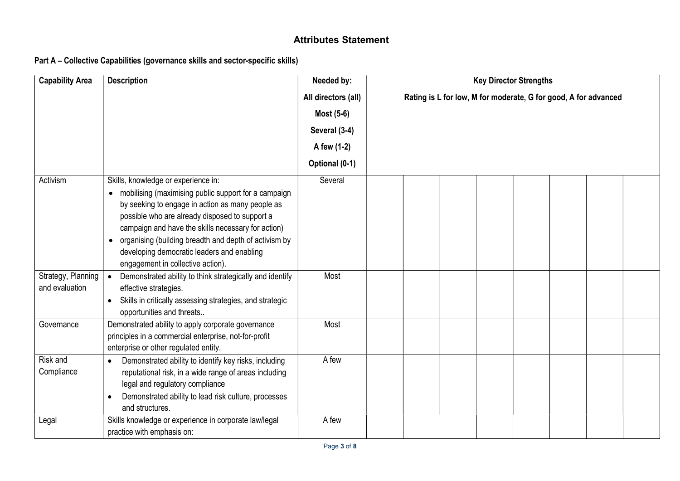# Attributes Statement

# Part A – Collective Capabilities (governance skills and sector-specific skills)

| <b>Capability Area</b> | <b>Description</b>                                                    | Needed by:          | <b>Key Director Strengths</b>                                   |
|------------------------|-----------------------------------------------------------------------|---------------------|-----------------------------------------------------------------|
|                        |                                                                       | All directors (all) | Rating is L for low, M for moderate, G for good, A for advanced |
|                        |                                                                       | Most (5-6)          |                                                                 |
|                        |                                                                       | Several (3-4)       |                                                                 |
|                        |                                                                       | A few (1-2)         |                                                                 |
|                        |                                                                       | Optional (0-1)      |                                                                 |
| Activism               | Skills, knowledge or experience in:                                   | Several             |                                                                 |
|                        | mobilising (maximising public support for a campaign<br>$\bullet$     |                     |                                                                 |
|                        | by seeking to engage in action as many people as                      |                     |                                                                 |
|                        | possible who are already disposed to support a                        |                     |                                                                 |
|                        | campaign and have the skills necessary for action)                    |                     |                                                                 |
|                        | organising (building breadth and depth of activism by<br>$\bullet$    |                     |                                                                 |
|                        | developing democratic leaders and enabling                            |                     |                                                                 |
|                        | engagement in collective action).                                     |                     |                                                                 |
| Strategy, Planning     | Demonstrated ability to think strategically and identify<br>$\bullet$ | Most                |                                                                 |
| and evaluation         | effective strategies.                                                 |                     |                                                                 |
|                        | Skills in critically assessing strategies, and strategic<br>$\bullet$ |                     |                                                                 |
|                        | opportunities and threats                                             |                     |                                                                 |
| Governance             | Demonstrated ability to apply corporate governance                    | Most                |                                                                 |
|                        | principles in a commercial enterprise, not-for-profit                 |                     |                                                                 |
|                        | enterprise or other regulated entity.                                 |                     |                                                                 |
| Risk and               | Demonstrated ability to identify key risks, including                 | A few               |                                                                 |
| Compliance             | reputational risk, in a wide range of areas including                 |                     |                                                                 |
|                        | legal and regulatory compliance                                       |                     |                                                                 |
|                        | Demonstrated ability to lead risk culture, processes                  |                     |                                                                 |
|                        | and structures.                                                       |                     |                                                                 |
| Legal                  | Skills knowledge or experience in corporate law/legal                 | A few               |                                                                 |
|                        | practice with emphasis on:                                            |                     |                                                                 |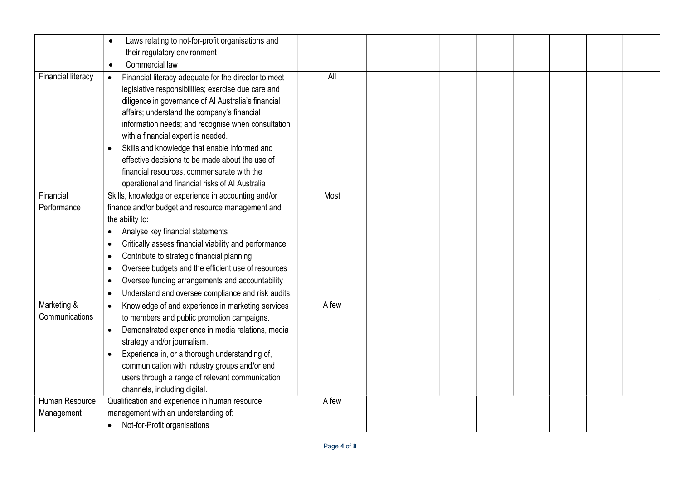|                               | Laws relating to not-for-profit organisations and<br>$\bullet$<br>their regulatory environment<br>Commercial law                                                                                                                                                                                                                                                                                                                                                                                                                             |            |  |  |  |  |
|-------------------------------|----------------------------------------------------------------------------------------------------------------------------------------------------------------------------------------------------------------------------------------------------------------------------------------------------------------------------------------------------------------------------------------------------------------------------------------------------------------------------------------------------------------------------------------------|------------|--|--|--|--|
| <b>Financial literacy</b>     | $\bullet$<br>Financial literacy adequate for the director to meet<br>$\bullet$<br>legislative responsibilities; exercise due care and<br>diligence in governance of Al Australia's financial<br>affairs; understand the company's financial<br>information needs; and recognise when consultation<br>with a financial expert is needed.<br>Skills and knowledge that enable informed and<br>effective decisions to be made about the use of<br>financial resources, commensurate with the<br>operational and financial risks of AI Australia | <b>All</b> |  |  |  |  |
| Financial                     | Skills, knowledge or experience in accounting and/or                                                                                                                                                                                                                                                                                                                                                                                                                                                                                         | Most       |  |  |  |  |
| Performance                   | finance and/or budget and resource management and<br>the ability to:<br>Analyse key financial statements<br>Critically assess financial viability and performance<br>٠<br>Contribute to strategic financial planning<br>Oversee budgets and the efficient use of resources<br>$\bullet$<br>Oversee funding arrangements and accountability<br>٠<br>Understand and oversee compliance and risk audits.                                                                                                                                        |            |  |  |  |  |
| Marketing &<br>Communications | Knowledge of and experience in marketing services<br>$\bullet$<br>to members and public promotion campaigns.<br>Demonstrated experience in media relations, media<br>$\bullet$<br>strategy and/or journalism.<br>Experience in, or a thorough understanding of,<br>communication with industry groups and/or end<br>users through a range of relevant communication<br>channels, including digital.                                                                                                                                          | A few      |  |  |  |  |
| Human Resource<br>Management  | Qualification and experience in human resource<br>management with an understanding of:<br>Not-for-Profit organisations<br>$\bullet$                                                                                                                                                                                                                                                                                                                                                                                                          | A few      |  |  |  |  |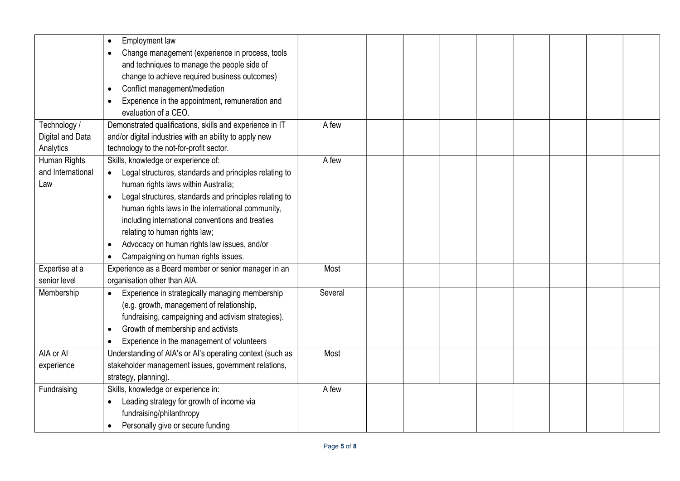|                   | Employment law                                            |         |  |  |  |  |
|-------------------|-----------------------------------------------------------|---------|--|--|--|--|
|                   | Change management (experience in process, tools           |         |  |  |  |  |
|                   | and techniques to manage the people side of               |         |  |  |  |  |
|                   | change to achieve required business outcomes)             |         |  |  |  |  |
|                   | Conflict management/mediation                             |         |  |  |  |  |
|                   | Experience in the appointment, remuneration and           |         |  |  |  |  |
|                   | evaluation of a CEO.                                      |         |  |  |  |  |
| Technology /      | Demonstrated qualifications, skills and experience in IT  | A few   |  |  |  |  |
| Digital and Data  | and/or digital industries with an ability to apply new    |         |  |  |  |  |
| Analytics         | technology to the not-for-profit sector.                  |         |  |  |  |  |
| Human Rights      | Skills, knowledge or experience of:                       | A few   |  |  |  |  |
| and International | Legal structures, standards and principles relating to    |         |  |  |  |  |
| Law               | human rights laws within Australia;                       |         |  |  |  |  |
|                   | Legal structures, standards and principles relating to    |         |  |  |  |  |
|                   | human rights laws in the international community,         |         |  |  |  |  |
|                   | including international conventions and treaties          |         |  |  |  |  |
|                   | relating to human rights law;                             |         |  |  |  |  |
|                   | Advocacy on human rights law issues, and/or               |         |  |  |  |  |
|                   | Campaigning on human rights issues.                       |         |  |  |  |  |
| Expertise at a    | Experience as a Board member or senior manager in an      | Most    |  |  |  |  |
| senior level      | organisation other than AIA.                              |         |  |  |  |  |
| Membership        | Experience in strategically managing membership           | Several |  |  |  |  |
|                   | (e.g. growth, management of relationship,                 |         |  |  |  |  |
|                   | fundraising, campaigning and activism strategies).        |         |  |  |  |  |
|                   | Growth of membership and activists                        |         |  |  |  |  |
|                   | Experience in the management of volunteers                |         |  |  |  |  |
| AIA or AI         | Understanding of AIA's or AI's operating context (such as | Most    |  |  |  |  |
| experience        | stakeholder management issues, government relations,      |         |  |  |  |  |
|                   | strategy, planning).                                      |         |  |  |  |  |
| Fundraising       | Skills, knowledge or experience in:                       | A few   |  |  |  |  |
|                   | Leading strategy for growth of income via                 |         |  |  |  |  |
|                   | fundraising/philanthropy                                  |         |  |  |  |  |
|                   | Personally give or secure funding                         |         |  |  |  |  |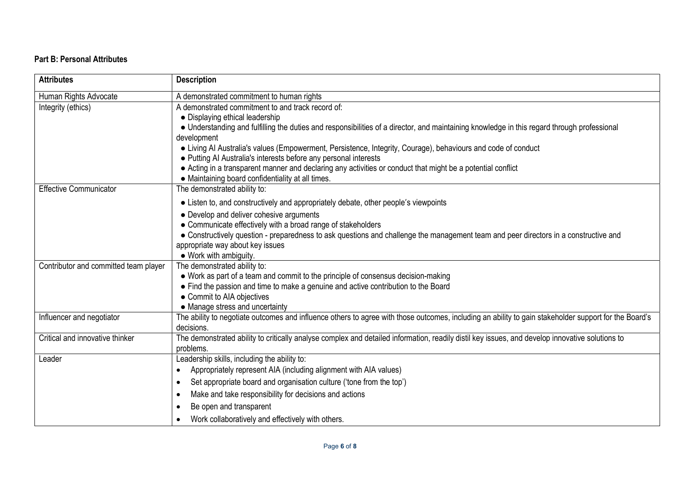# Part B: Personal Attributes

| <b>Attributes</b>                     | <b>Description</b>                                                                                                                                                                |
|---------------------------------------|-----------------------------------------------------------------------------------------------------------------------------------------------------------------------------------|
| Human Rights Advocate                 | A demonstrated commitment to human rights                                                                                                                                         |
| Integrity (ethics)                    | A demonstrated commitment to and track record of:                                                                                                                                 |
|                                       | • Displaying ethical leadership                                                                                                                                                   |
|                                       | • Understanding and fulfilling the duties and responsibilities of a director, and maintaining knowledge in this regard through professional                                       |
|                                       | development                                                                                                                                                                       |
|                                       | • Living Al Australia's values (Empowerment, Persistence, Integrity, Courage), behaviours and code of conduct<br>• Putting AI Australia's interests before any personal interests |
|                                       | • Acting in a transparent manner and declaring any activities or conduct that might be a potential conflict                                                                       |
|                                       | • Maintaining board confidentiality at all times.                                                                                                                                 |
| <b>Effective Communicator</b>         | The demonstrated ability to:                                                                                                                                                      |
|                                       | • Listen to, and constructively and appropriately debate, other people's viewpoints                                                                                               |
|                                       | • Develop and deliver cohesive arguments                                                                                                                                          |
|                                       | • Communicate effectively with a broad range of stakeholders                                                                                                                      |
|                                       | • Constructively question - preparedness to ask questions and challenge the management team and peer directors in a constructive and                                              |
|                                       | appropriate way about key issues                                                                                                                                                  |
| Contributor and committed team player | • Work with ambiguity.<br>The demonstrated ability to:                                                                                                                            |
|                                       | • Work as part of a team and commit to the principle of consensus decision-making                                                                                                 |
|                                       | • Find the passion and time to make a genuine and active contribution to the Board                                                                                                |
|                                       | • Commit to AIA objectives                                                                                                                                                        |
|                                       | • Manage stress and uncertainty                                                                                                                                                   |
| Influencer and negotiator             | The ability to negotiate outcomes and influence others to agree with those outcomes, including an ability to gain stakeholder support for the Board's<br>decisions.               |
| Critical and innovative thinker       | The demonstrated ability to critically analyse complex and detailed information, readily distil key issues, and develop innovative solutions to<br>problems.                      |
| Leader                                | Leadership skills, including the ability to:                                                                                                                                      |
|                                       | Appropriately represent AIA (including alignment with AIA values)<br>$\bullet$                                                                                                    |
|                                       | Set appropriate board and organisation culture ('tone from the top')<br>$\bullet$                                                                                                 |
|                                       | Make and take responsibility for decisions and actions<br>$\bullet$                                                                                                               |
|                                       | Be open and transparent                                                                                                                                                           |
|                                       | Work collaboratively and effectively with others.<br>$\bullet$                                                                                                                    |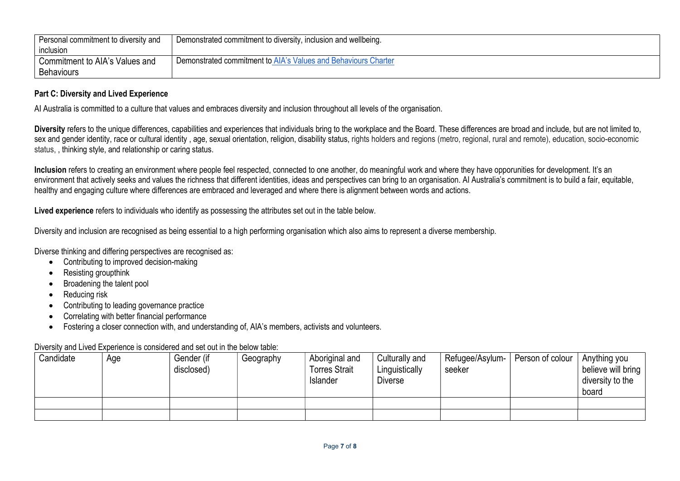| Personal commitment to diversity and | Demonstrated commitment to diversity, inclusion and wellbeing. |
|--------------------------------------|----------------------------------------------------------------|
| inclusion                            |                                                                |
| Commitment to AIA's Values and       | Demonstrated commitment to AIA's Values and Behaviours Charter |
| <b>Behaviours</b>                    |                                                                |

### Part C: Diversity and Lived Experience

AI Australia is committed to a culture that values and embraces diversity and inclusion throughout all levels of the organisation.

Diversity refers to the unique differences, capabilities and experiences that individuals bring to the workplace and the Board. These differences are broad and include, but are not limited to, sex and gender identity, race or cultural identity , age, sexual orientation, religion, disability status, rights holders and regions (metro, regional, rural and remote), education, socio-economic status, , thinking style, and relationship or caring status.

Inclusion refers to creating an environment where people feel respected, connected to one another, do meaningful work and where they have opporunities for development. It's an environment that actively seeks and values the richness that different identities, ideas and perspectives can bring to an organisation. Al Australia's commitment is to build a fair, equitable, healthy and engaging culture where differences are embraced and leveraged and where there is alignment between words and actions.

Lived experience refers to individuals who identify as possessing the attributes set out in the table below.

Diversity and inclusion are recognised as being essential to a high performing organisation which also aims to represent a diverse membership.

Diverse thinking and differing perspectives are recognised as:

- Contributing to improved decision-making
- Resisting groupthink
- Broadening the talent pool
- Reducing risk
- Contributing to leading governance practice
- Correlating with better financial performance
- Fostering a closer connection with, and understanding of, AIA's members, activists and volunteers.

Diversity and Lived Experience is considered and set out in the below table:

| Candidate | Age | Gender (if<br>disclosed) | Geography | Aboriginal and<br><b>Torres Strait</b><br>Islander | Culturally and<br>Linguistically<br><b>Diverse</b> | Refugee/Asylum-<br>seeker | Person of colour | Anything you<br>believe will bring  <br>diversity to the<br>board |
|-----------|-----|--------------------------|-----------|----------------------------------------------------|----------------------------------------------------|---------------------------|------------------|-------------------------------------------------------------------|
|           |     |                          |           |                                                    |                                                    |                           |                  |                                                                   |
|           |     |                          |           |                                                    |                                                    |                           |                  |                                                                   |